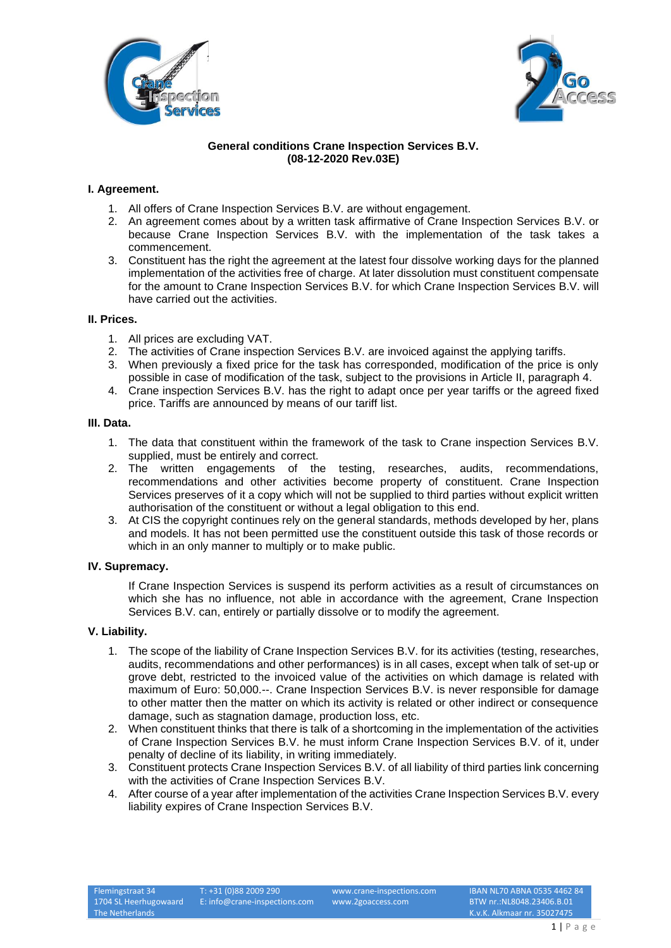



# **General conditions Crane Inspection Services B.V. (08-12-2020 Rev.03E)**

# **I. Agreement.**

- 1. All offers of Crane Inspection Services B.V. are without engagement.
- 2. An agreement comes about by a written task affirmative of Crane Inspection Services B.V. or because Crane Inspection Services B.V. with the implementation of the task takes a commencement.
- 3. Constituent has the right the agreement at the latest four dissolve working days for the planned implementation of the activities free of charge. At later dissolution must constituent compensate for the amount to Crane Inspection Services B.V. for which Crane Inspection Services B.V. will have carried out the activities.

## **II. Prices.**

- 1. All prices are excluding VAT.
- 2. The activities of Crane inspection Services B.V. are invoiced against the applying tariffs.
- 3. When previously a fixed price for the task has corresponded, modification of the price is only possible in case of modification of the task, subject to the provisions in Article II, paragraph 4.
- 4. Crane inspection Services B.V. has the right to adapt once per year tariffs or the agreed fixed price. Tariffs are announced by means of our tariff list.

## **III. Data.**

- 1. The data that constituent within the framework of the task to Crane inspection Services B.V. supplied, must be entirely and correct.
- 2. The written engagements of the testing, researches, audits, recommendations, recommendations and other activities become property of constituent. Crane Inspection Services preserves of it a copy which will not be supplied to third parties without explicit written authorisation of the constituent or without a legal obligation to this end.
- 3. At CIS the copyright continues rely on the general standards, methods developed by her, plans and models. It has not been permitted use the constituent outside this task of those records or which in an only manner to multiply or to make public.

## **IV. Supremacy.**

If Crane Inspection Services is suspend its perform activities as a result of circumstances on which she has no influence, not able in accordance with the agreement, Crane Inspection Services B.V. can, entirely or partially dissolve or to modify the agreement.

## **V. Liability.**

- 1. The scope of the liability of Crane Inspection Services B.V. for its activities (testing, researches, audits, recommendations and other performances) is in all cases, except when talk of set-up or grove debt, restricted to the invoiced value of the activities on which damage is related with maximum of Euro: 50,000.--. Crane Inspection Services B.V. is never responsible for damage to other matter then the matter on which its activity is related or other indirect or consequence damage, such as stagnation damage, production loss, etc.
- 2. When constituent thinks that there is talk of a shortcoming in the implementation of the activities of Crane Inspection Services B.V. he must inform Crane Inspection Services B.V. of it, under penalty of decline of its liability, in writing immediately.
- 3. Constituent protects Crane Inspection Services B.V. of all liability of third parties link concerning with the activities of Crane Inspection Services B.V.
- 4. After course of a year after implementation of the activities Crane Inspection Services B.V. every liability expires of Crane Inspection Services B.V.

Flemingstraat 34 1704 SL Heerhugowaard The Netherlands

T: +31 (0)88 2009 290 E: info@crane-inspections.com

www.crane-inspections.com www.2goaccess.com

IBAN NL70 ABNA 0535 4462 84 BTW nr.:NL8048.23406.B.01 K.v.K. Alkmaar nr. 35027475